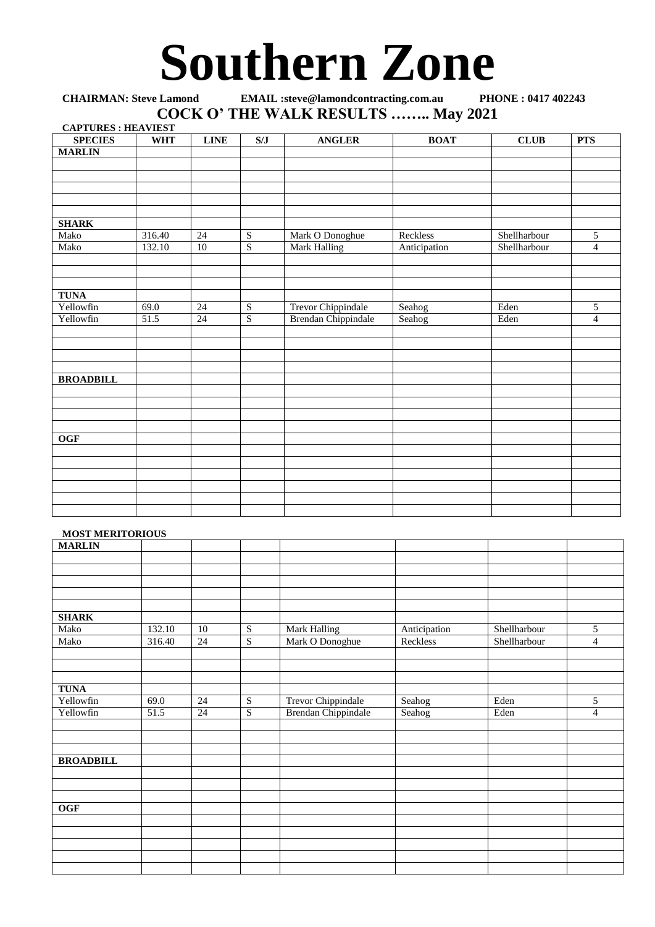## **Southern Zone**

| <b>CHAIRMAN: Steve Lamond</b>      |            | <b>EMAIL</b> :steve@lamondcontracting.com.au<br>PHONE: 0417 402243 |             |                            |              |              |                |  |
|------------------------------------|------------|--------------------------------------------------------------------|-------------|----------------------------|--------------|--------------|----------------|--|
| COCK O' THE WALK RESULTS  May 2021 |            |                                                                    |             |                            |              |              |                |  |
| <b>CAPTURES: HEAVIEST</b>          |            |                                                                    |             |                            |              |              |                |  |
| <b>SPECIES</b>                     | <b>WHT</b> | <b>LINE</b>                                                        | S/J         | <b>ANGLER</b>              | <b>BOAT</b>  | <b>CLUB</b>  | <b>PTS</b>     |  |
| <b>MARLIN</b>                      |            |                                                                    |             |                            |              |              |                |  |
|                                    |            |                                                                    |             |                            |              |              |                |  |
|                                    |            |                                                                    |             |                            |              |              |                |  |
|                                    |            |                                                                    |             |                            |              |              |                |  |
|                                    |            |                                                                    |             |                            |              |              |                |  |
|                                    |            |                                                                    |             |                            |              |              |                |  |
| <b>SHARK</b>                       |            |                                                                    |             |                            |              |              |                |  |
| Mako                               | 316.40     | 24                                                                 | S           | Mark O Donoghue            | Reckless     | Shellharbour | 5              |  |
| Mako                               | 132.10     | 10                                                                 | S           | <b>Mark Halling</b>        | Anticipation | Shellharbour | $\overline{4}$ |  |
|                                    |            |                                                                    |             |                            |              |              |                |  |
|                                    |            |                                                                    |             |                            |              |              |                |  |
| <b>TUNA</b>                        |            |                                                                    |             |                            |              |              |                |  |
| Yellowfin                          | 69.0       | 24                                                                 | S           | <b>Trevor Chippindale</b>  | Seahog       | Eden         | 5              |  |
| Yellowfin                          | 51.5       | 24                                                                 | $\mathbf S$ | <b>Brendan Chippindale</b> | Seahog       | Eden         | $\overline{4}$ |  |
|                                    |            |                                                                    |             |                            |              |              |                |  |
|                                    |            |                                                                    |             |                            |              |              |                |  |
|                                    |            |                                                                    |             |                            |              |              |                |  |
|                                    |            |                                                                    |             |                            |              |              |                |  |
| <b>BROADBILL</b>                   |            |                                                                    |             |                            |              |              |                |  |
|                                    |            |                                                                    |             |                            |              |              |                |  |
|                                    |            |                                                                    |             |                            |              |              |                |  |
|                                    |            |                                                                    |             |                            |              |              |                |  |
|                                    |            |                                                                    |             |                            |              |              |                |  |
| <b>OGF</b>                         |            |                                                                    |             |                            |              |              |                |  |
|                                    |            |                                                                    |             |                            |              |              |                |  |
|                                    |            |                                                                    |             |                            |              |              |                |  |
|                                    |            |                                                                    |             |                            |              |              |                |  |
|                                    |            |                                                                    |             |                            |              |              |                |  |
|                                    |            |                                                                    |             |                            |              |              |                |  |

## **MOST MERITORIOUS**

| <b>MARLIN</b>    |        |    |                |                            |              |              |                |
|------------------|--------|----|----------------|----------------------------|--------------|--------------|----------------|
|                  |        |    |                |                            |              |              |                |
|                  |        |    |                |                            |              |              |                |
|                  |        |    |                |                            |              |              |                |
|                  |        |    |                |                            |              |              |                |
|                  |        |    |                |                            |              |              |                |
| <b>SHARK</b>     |        |    |                |                            |              |              |                |
| Mako             | 132.10 | 10 | ${\bf S}$      | Mark Halling               | Anticipation | Shellharbour | 5              |
| Mako             | 316.40 | 24 | $\overline{S}$ | Mark O Donoghue            | Reckless     | Shellharbour | $\overline{4}$ |
|                  |        |    |                |                            |              |              |                |
|                  |        |    |                |                            |              |              |                |
|                  |        |    |                |                            |              |              |                |
| <b>TUNA</b>      |        |    |                |                            |              |              |                |
| Yellowfin        | 69.0   | 24 | $\overline{S}$ | <b>Trevor Chippindale</b>  | Seahog       | Eden         | 5              |
| Yellowfin        | 51.5   | 24 | $\overline{S}$ | <b>Brendan Chippindale</b> | Seahog       | Eden         | $\overline{4}$ |
|                  |        |    |                |                            |              |              |                |
|                  |        |    |                |                            |              |              |                |
|                  |        |    |                |                            |              |              |                |
| <b>BROADBILL</b> |        |    |                |                            |              |              |                |
|                  |        |    |                |                            |              |              |                |
|                  |        |    |                |                            |              |              |                |
|                  |        |    |                |                            |              |              |                |
| <b>OGF</b>       |        |    |                |                            |              |              |                |
|                  |        |    |                |                            |              |              |                |
|                  |        |    |                |                            |              |              |                |
|                  |        |    |                |                            |              |              |                |
|                  |        |    |                |                            |              |              |                |
|                  |        |    |                |                            |              |              |                |